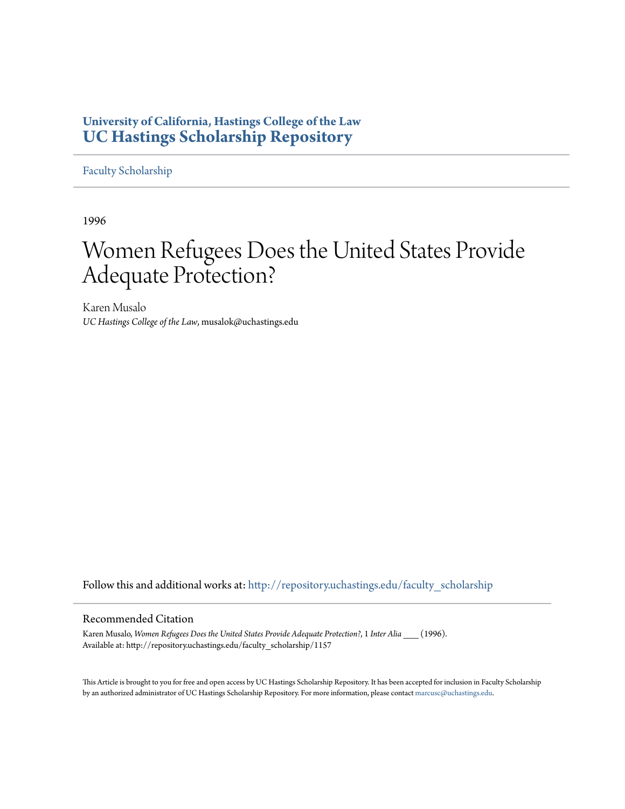## **University of California, Hastings College of the Law [UC Hastings Scholarship Repository](http://repository.uchastings.edu?utm_source=repository.uchastings.edu%2Ffaculty_scholarship%2F1157&utm_medium=PDF&utm_campaign=PDFCoverPages)**

[Faculty Scholarship](http://repository.uchastings.edu/faculty_scholarship?utm_source=repository.uchastings.edu%2Ffaculty_scholarship%2F1157&utm_medium=PDF&utm_campaign=PDFCoverPages)

1996

# Women Refugees Does the United States Provide Adequate Protection?

Karen Musalo *UC Hastings College of the Law*, musalok@uchastings.edu

Follow this and additional works at: [http://repository.uchastings.edu/faculty\\_scholarship](http://repository.uchastings.edu/faculty_scholarship?utm_source=repository.uchastings.edu%2Ffaculty_scholarship%2F1157&utm_medium=PDF&utm_campaign=PDFCoverPages)

#### Recommended Citation

Karen Musalo, *Women Refugees Does the United States Provide Adequate Protection?*, 1 *Inter Alia* \_\_\_ (1996). Available at: http://repository.uchastings.edu/faculty\_scholarship/1157

This Article is brought to you for free and open access by UC Hastings Scholarship Repository. It has been accepted for inclusion in Faculty Scholarship by an authorized administrator of UC Hastings Scholarship Repository. For more information, please contact [marcusc@uchastings.edu](mailto:marcusc@uchastings.edu).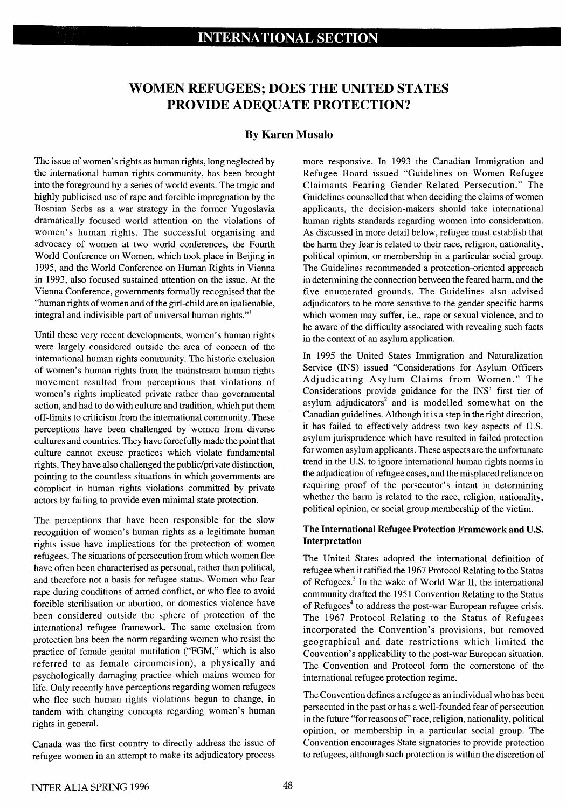# **WOMEN REFUGEES; DOES THE UNITED STATES PROVIDE ADEQUATE PROTECTION?**

### **By Karen Musalo**

The issue of women's rights as human rights, long neglected by the international human rights community, has been brought into the foreground by a series of world events. The tragic and highly publicised use of rape and forcible impregnation by the Bosnian Serbs as a war strategy in the former Yugoslavia dramatically focused world attention on the violations of women's human rights. The successful organising and advocacy of women at two world conferences, the Fourth World Conference on Women, which took place in Beijing in 1995, and the World Conference on Human Rights in Vienna in 1993, also focused sustained attention on the issue. At the Vienna Conference, governments formally recognised that the "human rights of women and of the girl-child are an inalienable, integral and indivisible part of universal human rights."<sup>1</sup>

Until these very recent developments, women's human rights were largely considered outside the area of concern of the international human rights community. The historic exclusion of women's human rights from the mainstream human rights movement resulted from perceptions that violations of women's rights implicated private rather than governmental action, and had to do with culture and tradition, which put them off-limits to criticism from the international community. These perceptions have been challenged by women from diverse cultures and countries. They have forcefully made the point that culture cannot excuse practices which violate fundamental rights. They have also challenged the public/private distinction, pointing to the countless situations in which governments are complicit in human rights violations committed by private actors by failing to provide even minimal state protection.

The perceptions that have been responsible for the slow recognition of women's human rights as a legitimate human rights issue have implications for the protection of women refugees. The situations of persecution from which women flee have often been characterised as personal, rather than political, and therefore not a basis for refugee status. Women who fear rape during conditions of armed conflict, or who flee to avoid forcible sterilisation or abortion, or domestics violence have been considered outside the sphere of protection of the international refugee framework. The same exclusion from protection has been the norm regarding women who resist the practice of female genital mutilation ("FGM," which is also referred to as female circumcision), a physically and psychologically damaging practice which maims women for life. Only recently have perceptions regarding women refugees who flee such human rights violations begun to change, in tandem with changing concepts regarding women's human rights in general.

Canada was the first country to directly address the issue of refugee women in an attempt to make its adjudicatory process

more responsive. In 1993 the Canadian Immigration and Refugee Board issued "Guidelines on Women Refugee Claimants Fearing Gender-Related Persecution." The Guidelines counselled that when deciding the claims of women applicants, the decision-makers should take international human rights standards regarding women into consideration. As discussed in more detail below, refugee must establish that the harm they fear is related to their race, religion, nationality, political opinion, or membership in a particular social group. The Guidelines recommended a protection-oriented approach in determining the connection between the feared harm, and the five enumerated grounds. The Guidelines also advised adjudicators to be more sensitive to the gender specific harms which women may suffer, i.e., rape or sexual violence, and to be aware of the difficulty associated with revealing such facts in the context of an asylum application.

In 1995 the United States Immigration and Naturalization Service (INS) issued "Considerations for Asylum Officers Adjudicating Asylum Claims from Women." The Considerations provide guidance for the INS' first tier of asylum adjudicators<sup>2</sup> and is modelled somewhat on the Canadian guidelines. Although it is a step in the right direction, it has failed to effectively address two key aspects of U.S. asylum jurisprudence which have resulted in failed protection for women asylum applicants. These aspects are the unfortunate trend in the U.S. to ignore international human rights norms in the adjudication of refugee cases, and the misplaced reliance on requiring proof of the persecutor's intent in determining whether the harm is related to the race, religion, nationality, political opinion, or social group membership of the victim.

### **The International Refugee Protection Framework and U.S. Interpretation**

The United States adopted the international definition of refugee when it ratified the **1967** Protocol Relating to the Status of Refugees.<sup>3</sup> In the wake of World War II, the international community drafted the **1951** Convention Relating to the Status of Refugees<sup>4</sup> to address the post-war European refugee crisis. The **1967** Protocol Relating to the Status of Refugees incorporated the Convention's provisions, but removed geographical and date restrictions which limited the Convention's applicability to the post-war European situation. The Convention and Protocol form the cornerstone of the international refugee protection regime.

The Convention defines a refugee as an individual who has been persecuted in the past or has a well-founded fear of persecution in the future "for reasons *of'* race, religion, nationality, political opinion, or membership in a particular social group. The Convention encourages State signatories to provide protection to refugees, although such protection is within the discretion of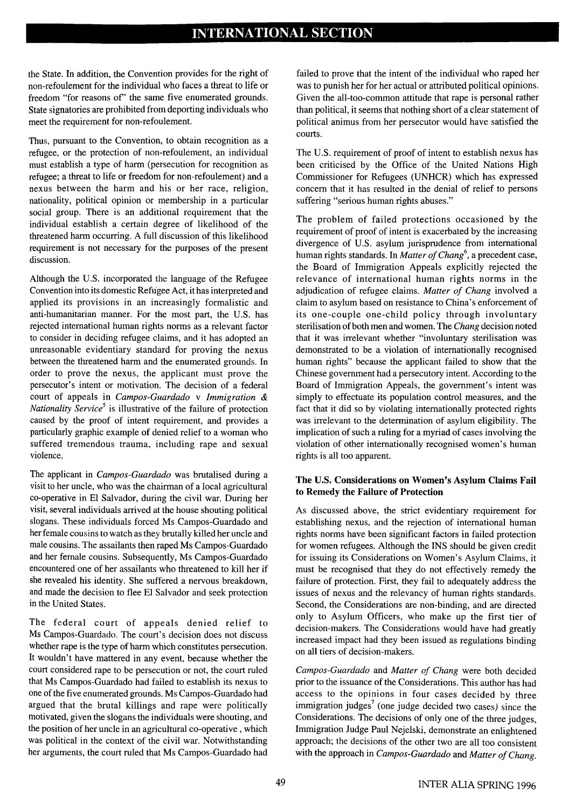# **INTERNATIONAL SECTION**

the State. In addition, the Convention provides for the right of non-refoulement for the individual who faces a threat to life or freedom "for reasons *of'* the same five enumerated grounds. State signatories are prohibited from deporting individuals who meet the requirement for non-refoulement.

Thus, pursuant to the Convention, to obtain recognition as a refugee, or the protection of non-refoulement, an individual must establish a type of harm (persecution for recognition as refugee; a threat to life or freedom for non-refoulement) and a nexus between the harm and his or her race, religion, nationality, political opinion or membership in a particular social group. There is an additional requirement that the individual establish a certain degree of likelihood of the threatened harm occurring. A full discussion of this likelihood requirement is not necessary for the purposes of the present discussion.

Although the U.S. incorporated the language of the Refugee Convention into its domestic Refugee Act, it has interpreted and applied its provisions in an increasingly formalistic and anti-humanitarian manner. For the most part, the U.S. has rejected international human rights norms as a relevant factor to consider in deciding refugee claims, and it has adopted an unreasonable evidentiary standard for proving the nexus between the threatened harm and the enumerated grounds. In order to prove the nexus, the applicant must prove the persecutor's intent or motivation. The decision of a federal court of appeals in *Campos-Guardado v Immigration & Nationality Service*<sup>5</sup> is illustrative of the failure of protection caused by the proof of intent requirement, and provides a particularly graphic example of denied relief to a woman who suffered tremendous trauma, including rape and sexual violence.

The applicant in *Campos-Guardado* was brutalised during a visit to her uncle, who was the chairman of a local agricultural co-operative in **El** Salvador, during the civil war. During her visit, several individuals arrived at the house shouting political slogans. These individuals forced Ms Campos-Guardado and her female cousins to watch as they brutally killed her uncle and male cousins. The assailants then raped Ms Campos-Guardado and her female cousins. Subsequently, Ms Campos-Guardado encountered one of her assailants who threatened to kill her if she revealed his identity. She suffered a nervous breakdown, and made the decision to flee **El** Salvador and seek protection in the United States.

The federal court of appeals denied relief to Ms Campos-Guardado. The court's decision does not discuss whether rape is the type of harm which constitutes persecution. It wouldn't have mattered in any event, because whether the court considered rape to be persecution or not, the court ruled that Ms Campos-Guardado had failed to establish its nexus to one of the five enumerated grounds. Ms Campos-Guardado had argued that the brutal killings and rape were politically motivated, given the slogans the individuals were shouting, and the position of her uncle in an agricultural co-operative , which was political in the context of the civil war. Notwithstanding her arguments, the court ruled that Ms Campos-Guardado had

failed to prove that the intent of the individual who raped her was to punish her for her actual or attributed political opinions. Given the all-too-common attitude that rape is personal rather than political, it seems that nothing short of a clear statement of political animus from her persecutor would have satisfied the courts.

The U.S. requirement of proof of intent to establish nexus has been criticised by the Office of the United Nations High Commissioner for Refugees (UNHCR) which has expressed concern that it has resulted in the denial of relief to persons suffering "serious human rights abuses."

The problem of failed protections occasioned by the requirement of proof of intent is exacerbated by the increasing divergence of U.S. asylum jurisprudence from international human rights standards. In *Matter of Chang*<sup>6</sup>, a precedent case, the Board of Immigration Appeals explicitly rejected the relevance of international human rights norms in the adjudication of refugee claims. *Matter of Chang* involved a claim to asylum based on resistance to China's enforcement of its one-couple one-child policy through involuntary sterilisation of both men and women. The *Chang* decision noted that it was irrelevant whether "involuntary sterilisation was demonstrated to be a violation of internationally recognised human rights" because the applicant failed to show that the Chinese government had a persecutory intent. According to the Board of Immigration Appeals, the government's intent was simply to effectuate its population control measures, and the fact that it did so by violating internationally protected rights was irrelevant to the determination of asylum eligibility. The implication of such a ruling for a myriad of cases involving the violation of other internationally recognised women's human rights is all too apparent.

#### **The U.S. Considerations on Women's Asylum Claims Fail to Remedy the Failure of Protection**

As discussed above, the strict evidentiary requirement for establishing nexus, and the rejection of international human rights norms have been significant factors in failed protection for women refugees. Although the INS should be given credit for issuing its Considerations on Women's Asylum Claims, it must be recognised that they do not effectively remedy the failure of protection. First, they fail to adequately address the issues of nexus and the relevancy of human rights standards. Second, the Considerations are non-binding, and are directed only to Asylum Officers, who make up the first tier of decision-makers. The Considerations would have had greatly increased impact had they been issued as regulations binding on all tiers of decision-makers.

*Campos-Guardado* and *Matter of Chang* were both decided prior to the issuance of the Considerations. This author has had access to the opinions in four cases decided by three immigration judges<sup>7</sup> (one judge decided two cases) since the Considerations. The decisions of only one of the three judges, Immigration Judge Paul Nejelski, demonstrate an enlightened approach; the decisions of the other two are all too consistent with the approach in *Campos-Guardado* and *Matter of Chang.*